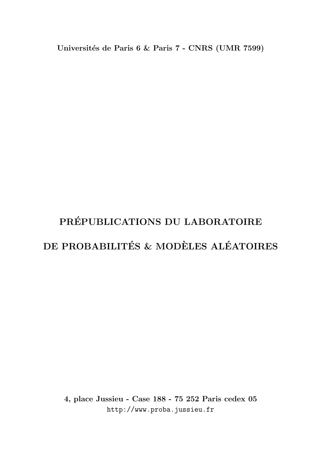Universités de Paris 6 & Paris 7 - CNRS (UMR 7599)

# PRÉPUBLICATIONS DU LABORATOIRE DE PROBABILITÉS & MODÈLES ALÉATOIRES

4, place Jussieu - Case 188 - 75 252 Paris cedex 05 http://www.proba.jussieu.fr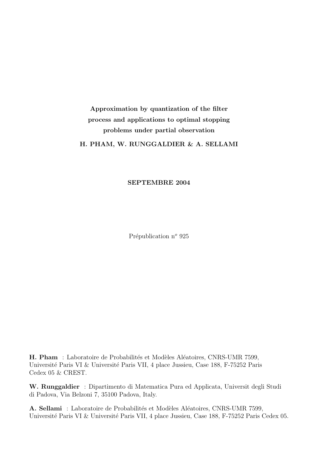## Approximation by quantization of the filter process and applications to optimal stopping problems under partial observation H. PHAM, W. RUNGGALDIER & A. SELLAMI

SEPTEMBRE 2004

Prépublication n<sup>o</sup> 925

H. Pham : Laboratoire de Probabilités et Modèles Aléatoires, CNRS-UMR 7599, Université Paris VI & Université Paris VII, 4 place Jussieu, Case 188, F-75252 Paris Cedex 05 & CREST.

W. Runggaldier : Dipartimento di Matematica Pura ed Applicata, Universit degli Studi di Padova, Via Belzoni 7, 35100 Padova, Italy.

A. Sellami : Laboratoire de Probabilités et Modèles Aléatoires, CNRS-UMR 7599, Université Paris VI & Université Paris VII, 4 place Jussieu, Case 188, F-75252 Paris Cedex 05.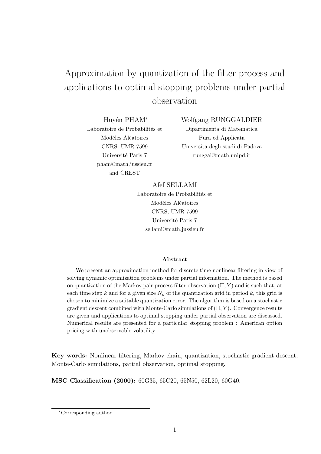## Approximation by quantization of the filter process and applications to optimal stopping problems under partial observation

Huyên PHAM\* Laboratoire de Probabilités et Modèles Aléatoires **CNRS. UMR 7599** Université Paris 7 pham@math.jussieu.fr and CREST

Wolfgang RUNGGALDIER Dipartimenta di Matematica Pura ed Applicata Universita degli studi di Padova runggal@math.unipd.it

Afef SELLAMI Laboratoire de Probabilités et Modèles Aléatoires **CNRS, UMR 7599** Université Paris 7 sellami@math.jussieu.fr

## Abstract

We present an approximation method for discrete time nonlinear filtering in view of solving dynamic optimization problems under partial information. The method is based on quantization of the Markov pair process filter-observation  $(\Pi, Y)$  and is such that, at each time step k and for a given size  $N_k$  of the quantization grid in period k, this grid is chosen to minimize a suitable quantization error. The algorithm is based on a stochastic gradient descent combined with Monte-Carlo simulations of  $(\Pi, Y)$ . Convergence results are given and applications to optimal stopping under partial observation are discussed. Numerical results are presented for a particular stopping problem : American option pricing with unobservable volatility.

**Key words:** Nonlinear filtering, Markov chain, quantization, stochastic gradient descent, Monte-Carlo simulations, partial observation, optimal stopping.

MSC Classification (2000): 60G35, 65C20, 65N50, 62L20, 60G40.

<sup>\*</sup>Corresponding author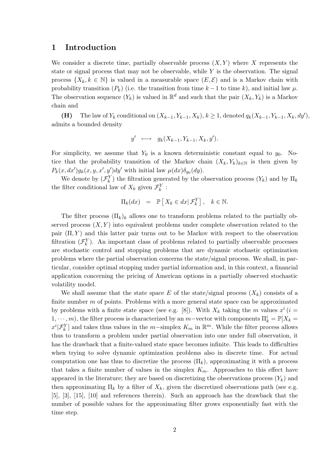#### Introduction  $\mathbf 1$

We consider a discrete time, partially observable process  $(X, Y)$  where X represents the state or signal process that may not be observable, while  $Y$  is the observation. The signal process  $\{X_k, k \in \mathbb{N}\}\$ is valued in a measurable space  $(E, \mathcal{E})$  and is a Markov chain with probability transition  $(P_k)$  (i.e. the transition from time  $k-1$  to time k), and initial law  $\mu$ . The observation sequence  $(Y_k)$  is valued in  $\mathbb{R}^d$  and such that the pair  $(X_k, Y_k)$  is a Markov chain and

The law of  $Y_k$  conditional on  $(X_{k-1}, Y_{k-1}, X_k)$ ,  $k \ge 1$ , denoted  $q_k(X_{k-1}, Y_{k-1}, X_k, dy')$ ,  $(H)$ admits a bounded density

$$
y' \longmapsto g_k(X_{k-1}, Y_{k-1}, X_k, y').
$$

For simplicity, we assume that  $Y_0$  is a known deterministic constant equal to  $y_0$ . Notice that the probability transition of the Markov chain  $(X_k, Y_k)_{k \in \mathbb{N}}$  is then given by  $P_k(x, dx')g_k(x, y, x', y')dy'$  with initial law  $\mu(dx)\delta_{y_0}(dy)$ .

We denote by  $(\mathcal{F}_k^Y)$  the filtration generated by the observation process  $(Y_k)$  and by  $\Pi_k$ the filter conditional law of  $X_k$  given  $\mathcal{F}_k^Y$ :

$$
\Pi_k(dx) = \mathbb{P}\left[X_k \in dx | \mathcal{F}_k^Y\right], \quad k \in \mathbb{N}.
$$

The filter process  $(\Pi_k)_k$  allows one to transform problems related to the partially observed process  $(X, Y)$  into equivalent problems under complete observation related to the pair  $(\Pi, Y)$  and this latter pair turns out to be Markov with respect to the observation filtration  $(\mathcal{F}_k^Y)$ . An important class of problems related to partially observable processes are stochastic control and stopping problems that are dynamic stochastic optimization problems where the partial observation concerns the state/signal process. We shall, in particular, consider optimal stopping under partial information and, in this context, a financial application concerning the pricing of American options in a partially observed stochastic volatility model.

We shall assume that the state space E of the state/signal process  $(X_k)$  consists of a finite number  $m$  of points. Problems with a more general state space can be approximated by problems with a finite state space (see e.g. [8]). With  $X_k$  taking the m values  $x^i$  (i =  $(1,\dots,m)$ , the filter process is characterized by an *m*-vector with components  $\Pi_k^i = \mathbb{P}[X_k =$  $x^i|\mathcal{F}_k^Y|$  and takes thus values in the m-simplex  $K_m$  in  $\mathbb{R}^m$ . While the filter process allows thus to transform a problem under partial observation into one under full observation, it has the drawback that a finite-valued state space becomes infinite. This leads to difficulties when trying to solve dynamic optimization problems also in discrete time. For actual computation one has thus to discretize the process  $(\Pi_k)$ , approximating it with a process that takes a finite number of values in the simplex  $K_m$ . Approaches to this effect have appeared in the literature; they are based on discretizing the observations process  $(Y_k)$  and then approximating  $\Pi_k$  by a filter of  $X_k$ , given the discretized observations path (see e.g.  $[5]$ ,  $[3]$ ,  $[15]$ ,  $[10]$  and references therein). Such an approach has the drawback that the number of possible values for the approximating filter grows exponentially fast with the time step.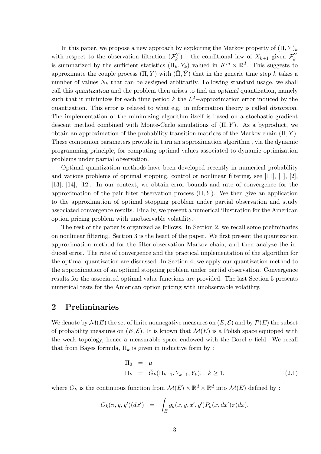In this paper, we propose a new approach by exploiting the Markov property of  $(\Pi, Y)_k$ with respect to the observation filtration  $(\mathcal{F}_k^Y)$ : the conditional law of  $X_{k+1}$  given  $\mathcal{F}_k^Y$ is summarized by the sufficient statistics  $(\Pi_k, Y_k)$  valued in  $K^m \times \mathbb{R}^d$ . This suggests to approximate the couple process  $(\Pi, Y)$  with  $(\Pi, \hat{Y})$  that in the generic time step k takes a number of values  $N_k$  that can be assigned arbitrarily. Following standard usage, we shall call this quantization and the problem then arises to find an optimal quantization, namely such that it minimizes for each time period k the  $L^2$ -approximation error induced by the quantization. This error is related to what e.g. in information theory is called distorsion. The implementation of the minimizing algorithm itself is based on a stochastic gradient descent method combined with Monte-Carlo simulations of  $(\Pi, Y)$ . As a byproduct, we obtain an approximation of the probability transition matrices of the Markov chain  $(\Pi, Y)$ . These companion parameters provide in turn an approximation algorithm, via the dynamic programming principle, for computing optimal values associated to dynamic optimization problems under partial observation.

Optimal quantization methods have been developed recently in numerical probability and various problems of optimal stopping, control or nonlinear filtering, see [11], [1], [2], [13], [14], [12]. In our context, we obtain error bounds and rate of convergence for the approximation of the pair filter-observation process  $(\Pi, Y)$ . We then give an application to the approximation of optimal stopping problem under partial observation and study associated convergence results. Finally, we present a numerical illustration for the American option pricing problem with unobservable volatility.

The rest of the paper is organized as follows. In Section 2, we recall some preliminaries on nonlinear filtering. Section 3 is the heart of the paper. We first present the quantization approximation method for the filter-observation Markov chain, and then analyze the induced error. The rate of convergence and the practical implementation of the algorithm for the optimal quantization are discussed. In Section 4, we apply our quantization method to the approximation of an optimal stopping problem under partial observation. Convergence results for the associated optimal value functions are provided. The last Section 5 presents numerical tests for the American option pricing with unobservable volatility.

#### $\overline{2}$ Preliminaries

We denote by  $\mathcal{M}(E)$  the set of finite nonnegative measures on  $(E, \mathcal{E})$  and by  $\mathcal{P}(E)$  the subset of probability measures on  $(E, \mathcal{E})$ . It is known that  $\mathcal{M}(E)$  is a Polish space equipped with the weak topology, hence a measurable space endowed with the Borel  $\sigma$ -field. We recall that from Bayes formula,  $\Pi_k$  is given in inductive form by :

$$
\Pi_0 = \mu \n\Pi_k = \bar{G}_k(\Pi_{k-1}, Y_{k-1}, Y_k), \quad k \ge 1,
$$
\n(2.1)

where  $G_k$  is the continuous function from  $\mathcal{M}(E) \times \mathbb{R}^d \times \mathbb{R}^d$  into  $\mathcal{M}(E)$  defined by:

$$
G_k(\pi, y, y')(dx') = \int_E g_k(x, y, x', y') P_k(x, dx') \pi(dx),
$$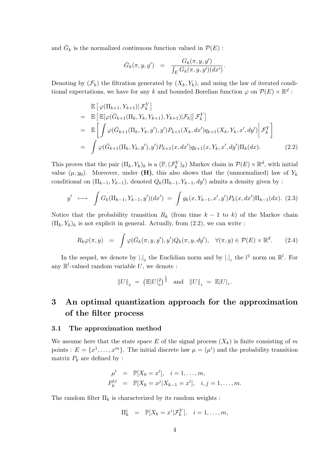and  $\overline{G}_k$  is the normalized continuous function valued in  $\mathcal{P}(E)$ :

$$
\bar{G}_k(\pi, y, y') = \frac{G_k(\pi, y, y')}{\int_E G_k(\pi, y, y')(dx')}.
$$

Denoting by  $(\mathcal{F}_k)$  the filtration generated by  $(X_k, Y_k)$ , and using the law of iterated conditional expectations, we have for any k and bounded Borelian function  $\varphi$  on  $\mathcal{P}(E) \times \mathbb{R}^d$ :

$$
\mathbb{E}\left[\varphi(\Pi_{k+1}, Y_{k+1})|\mathcal{F}_k^Y\right] \n= \mathbb{E}\left[\mathbb{E}[\varphi(\bar{G}_{k+1}(\Pi_k, Y_k, Y_{k+1}), Y_{k+1})|\mathcal{F}_k]|\mathcal{F}_k^Y\right] \n= \mathbb{E}\left[\int \varphi(\bar{G}_{k+1}(\Pi_k, Y_k, y'), y')P_{k+1}(X_k, dx')q_{k+1}(X_k, Y_k, x', dy')\bigg|\mathcal{F}_k^Y\right] \n= \int \varphi(\bar{G}_{k+1}(\Pi_k, Y_k, y'), y')P_{k+1}(x, dx')q_{k+1}(x, Y_k, x', dy')\Pi_k(dx).
$$
\n(2.2)

This proves that the pair  $(\Pi_k, Y_k)_k$  is a  $(\mathbb{P}, (\mathcal{F}_k^Y)_k)$  Markov chain in  $\mathcal{P}(E) \times \mathbb{R}^d$ , with initial value  $(\mu, y_0)$ . Moreover, under (H), this also shows that the (unnormalized) law of  $Y_k$ conditional on  $(\Pi_{k-1}, Y_{k-1})$ , denoted  $Q_k(\Pi_{k-1}, Y_{k-1}, dy')$  admits a density given by:

$$
y' \longmapsto \int G_k(\Pi_{k-1}, Y_{k-1}, y')(dx') = \int g_k(x, Y_{k-1}, x', y') P_k(x, dx') \Pi_{k-1}(dx). \tag{2.3}
$$

Notice that the probability transition  $R_k$  (from time  $k-1$  to k) of the Markov chain  $(\Pi_k, Y_k)_k$  is not explicit in general. Actually, from (2.2), we can write :

$$
R_k \varphi(\pi, y) = \int \varphi(\bar{G}_k(\pi, y, y'), y') Q_k(\pi, y, dy'), \quad \forall (\pi, y) \in \mathcal{P}(E) \times \mathbb{R}^d.
$$
 (2.4)

In the sequel, we denote by  $|.|_2$  the Euclidian norm and by  $|.|_1$  the  $l^1$  norm on  $\mathbb{R}^l$ . For any  $\mathbb{R}^l$ -valued random variable U, we denote :

$$
||U||_2 = (||E||U||_2^2)^{\frac{1}{2}} \text{ and } ||U||_1 = ||E||U||_1.
$$

### 3 An optimal quantization approach for the approximation of the filter process

#### 3.1 The approximation method

We assume here that the state space E of the signal process  $(X_k)$  is finite consisting of m points :  $E = \{x^1, \ldots, x^m\}$ . The initial discrete law  $\mu = (\mu^i)$  and the probability transition matrix  $P_k$  are defined by:

$$
\mu^{i} = \mathbb{P}[X_0 = x^{i}], \quad i = 1, ..., m,
$$
  
\n
$$
P_k^{ij} = \mathbb{P}[X_k = x^{j}|X_{k-1} = x^{i}], \quad i, j = 1, ..., m.
$$

The random filter  $\Pi_k$  is characterized by its random weights :

$$
\Pi_k^i = \mathbb{P}[X_k = x^i | \mathcal{F}_k^Y], \quad i = 1, \dots, m,
$$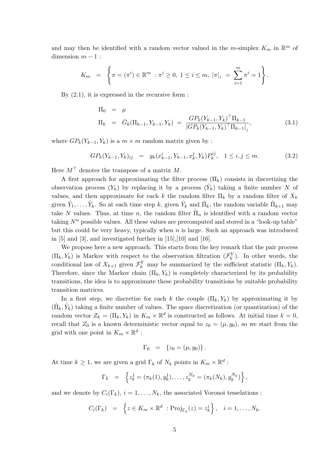and may then be identified with a random vector valued in the m-simplex  $K_m$  in  $\mathbb{R}^m$  of dimension  $m-1$ :

$$
K_m = \left\{ \pi = (\pi^i) \in \mathbb{R}^m : \pi^i \geq 0, 1 \leq i \leq m, |\pi|_1 = \sum_{i=1}^m \pi^i = 1 \right\}.
$$

By  $(2.1)$ , it is expressed in the recursive form :

$$
\Pi_0 = \mu
$$
\n
$$
\Pi_k = \bar{G}_k(\Pi_{k-1}, Y_{k-1}, Y_k) = \frac{G P_k(Y_{k-1}, Y_k)^\top \Pi_{k-1}}{|G P_k(Y_{k-1}, Y_k)^\top \Pi_{k-1}|},
$$
\n(3.1)

where  $GP_k(Y_{k-1}, Y_k)$  is a  $m \times m$  random matrix given by:

$$
GP_k(Y_{k-1}, Y_k)_{ij} = g_k(x_{k-1}^i, Y_{k-1}, x_k^j, Y_k) P_k^{ij}, \quad 1 \le i, j \le m.
$$
 (3.2)

Here  $M^{\top}$  denotes the transpose of a matrix M.

A first approach for approximating the filter process  $(\Pi_k)$  consists in discretizing the observation process  $(Y_k)$  by replacing it by a process  $(\hat{Y}_k)$  taking a finite number N of values, and then approximate for each k the random filter  $\Pi_k$  by a random filter of  $X_k$ given  $\hat{Y}_1, \ldots, \hat{Y}_k$ . So at each time step k, given  $\hat{Y}_k$  and  $\hat{\Pi}_k$ , the random variable  $\hat{\Pi}_{k+1}$  may take N values. Thus, at time n, the random filter  $\hat{\Pi}_n$  is identified with a random vector taking  $N^n$  possible values. All these values are precomputed and stored in a "look-up table" but this could be very heavy, typically when  $n$  is large. Such an approach was introduced in  $[5]$  and  $[3]$ , and investigated further in  $[15]$ ,  $[10]$  and  $[16]$ .

We propose here a new approach. This starts from the key remark that the pair process  $(\Pi_k, Y_k)$  is Markov with respect to the observation filtration  $(\mathcal{F}_k^Y)$ . In other words, the conditional law of  $X_{k+1}$  given  $\mathcal{F}_k^Y$  may be summarized by the sufficient statistic  $(\Pi_k, Y_k)$ . Therefore, since the Markov chain  $(\Pi_k, Y_k)$  is completely characterized by its probability transitions, the idea is to approximate these probability transitions by suitable probability transition matrices.

In a first step, we discretize for each k the couple  $(\Pi_k, Y_k)$  by approximating it by  $(\hat{\Pi}_k, \hat{Y}_k)$  taking a finite number of values. The space discretization (or quantization) of the random vector  $Z_k = (\Pi_k, Y_k)$  in  $K_m \times \mathbb{R}^d$  is constructed as follows. At initial time  $k = 0$ , recall that  $Z_0$  is a known deterministic vector equal to  $z_0 = (\mu, y_0)$ , so we start from the grid with one point in  $K_m \times \mathbb{R}^d$ :

$$
\Gamma_0 = \{z_0 = (\mu, y_0)\}.
$$

At time  $k \geq 1$ , we are given a grid  $\Gamma_k$  of  $N_k$  points in  $K_m \times \mathbb{R}^d$ :

$$
\Gamma_k = \left\{ z_k^1 = (\pi_k(1), y_k^1), \dots, z_k^{N_k} = (\pi_k(N_k), y_k^{N_k}) \right\},\
$$

and we denote by  $C_i(\Gamma_k)$ ,  $i = 1, ..., N_k$ , the associated Voronoi tesselations:

$$
C_i(\Gamma_k) = \left\{ z \in K_m \times \mathbb{R}^d : \text{Proj}_{\Gamma_k}(z) = z_k^i \right\}, \quad i = 1, \ldots, N_k.
$$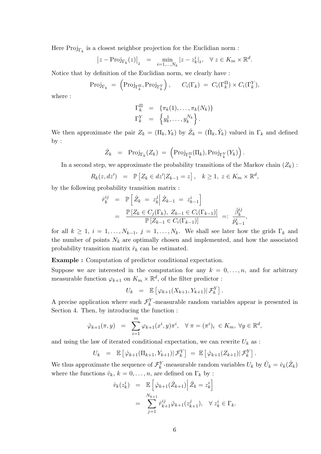Here  $\text{Proj}_{\Gamma_k}$  is a closest neighbor projection for the Euclidian norm :

$$
\left|z - \text{Proj}_{\Gamma_k}(z)\right|_2 = \min_{i=1,\dots,N_k} |z - z_k^i|_2, \quad \forall \ z \in K_m \times \mathbb{R}^d.
$$

Notice that by definition of the Euclidian norm, we clearly have:

$$
\text{Proj}_{\Gamma_k} = \left( \text{Proj}_{\Gamma_k^{\Pi}}, \text{Proj}_{\Gamma_k^Y} \right), \quad C_i(\Gamma_k) = C_i(\Gamma_k^{\Pi}) \times C_i(\Gamma_k^Y),
$$

where :

$$
\begin{aligned}\n\Gamma_k^{\Pi} &= \{ \pi_k(1), \ldots, \pi_k(N_k) \} \\
\Gamma_k^Y &= \{ y_k^1, \ldots, y_k^{N_k} \}.\n\end{aligned}
$$

We then approximate the pair  $Z_k = (\Pi_k, Y_k)$  by  $\hat{Z}_k = (\hat{\Pi}_k, \hat{Y}_k)$  valued in  $\Gamma_k$  and defined  $by:$ 

$$
\hat{Z}_k = \text{Proj}_{\Gamma_k}(Z_k) = \left( \text{Proj}_{\Gamma_k^{\Pi}}(\Pi_k), \text{Proj}_{\Gamma_k^Y}(Y_k) \right).
$$

In a second step, we approximate the probability transitions of the Markov chain  $(Z_k)$ :

$$
R_k(z, dz') = \mathbb{P}\left[Z_k \in dz' | Z_{k-1} = z\right], \quad k \ge 1, \ z \in K_m \times \mathbb{R}^d,
$$

by the following probability transition matrix :

$$
\hat{r}_{k}^{ij} = \mathbb{P}\left[\hat{Z}_{k} = z_{k}^{j} \middle| \hat{Z}_{k-1} = z_{k-1}^{i}\right] \n= \frac{\mathbb{P}\left[Z_{k} \in C_{j}(\Gamma_{k}), Z_{k-1} \in C_{i}(\Gamma_{k-1})\right]}{\mathbb{P}\left[Z_{k-1} \in C_{i}(\Gamma_{k-1})\right]} =: \frac{\hat{\beta}_{k}^{ij}}{\hat{p}_{k-1}^{i}},
$$

for all  $k \geq 1$ ,  $i = 1, ..., N_{k-1}$ ,  $j = 1, ..., N_k$ . We shall see later how the grids  $\Gamma_k$  and the number of points  $N_k$  are optimally chosen and implemented, and how the associated probability transition matrix  $\hat{r}_k$  can be estimated.

**Example :** Computation of predictor conditional expectation.

Suppose we are interested in the computation for any  $k = 0, \ldots, n$ , and for arbitrary measurable function  $\varphi_{k+1}$  on  $K_m \times \mathbb{R}^d$ , of the filter predictor :

$$
U_k = \mathbb{E}\left[\varphi_{k+1}(X_{k+1}, Y_{k+1}) | \mathcal{F}_k^Y\right].
$$

A precise application where such  $\mathcal{F}^Y_k$  -measurable random variables appear is presented in Section 4. Then, by introducing the function:

$$
\hat{\varphi}_{k+1}(\pi, y) = \sum_{i=1}^{m} \varphi_{k+1}(x^i, y)\pi^i, \quad \forall \pi = (\pi^i)_i \in K_m, \ \forall y \in \mathbb{R}^d,
$$

and using the law of iterated conditional expectation, we can rewrite  $U_k$  as :

$$
U_k = \mathbb{E} \left[ \hat{\varphi}_{k+1}(\Pi_{k+1}, Y_{k+1}) | \mathcal{F}_k^Y \right] = \mathbb{E} \left[ \hat{\varphi}_{k+1}(Z_{k+1}) | \mathcal{F}_k^Y \right].
$$

We thus approximate the sequence of  $\mathcal{F}_k^Y$ -measurable random variables  $U_k$  by  $\hat{U}_k = \hat{v}_k(\hat{Z}_k)$ where the functions  $\hat{v}_k$ ,  $k = 0, \ldots, n$ , are defined on  $\Gamma_k$  by :

$$
\hat{v}_k(z_k^i) = \mathbb{E}\left[\hat{\varphi}_{k+1}(\hat{Z}_{k+1})\middle|\hat{Z}_k = z_k^i\right]
$$

$$
= \sum_{j=1}^{N_{k+1}} \hat{r}_{k+1}^{ij}\hat{\varphi}_{k+1}(z_{k+1}^j), \quad \forall z_k^i \in \Gamma_k.
$$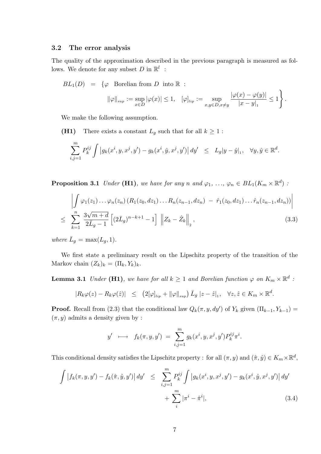#### $3.2$ The error analysis

The quality of the approximation described in the previous paragraph is measured as follows. We denote for any subset D in  $\mathbb{R}^l$  :

$$
BL_1(D) = \{ \varphi \text{ Borelian from } D \text{ into } \mathbb{R} : \|\varphi\|_{sup} := \sup_{x \in D} |\varphi(x)| \le 1, \quad [\varphi]_{lip} := \sup_{x,y \in D, x \ne y} \frac{|\varphi(x) - \varphi(y)|}{|x - y|_1} \le 1 \}.
$$

We make the following assumption.

There exists a constant  $L_g$  such that for all  $k \geq 1$ :  $(H1)$ 

$$
\sum_{i,j=1}^m P_k^{ij} \int \left| g_k(x^i, y, x^j, y') - g_k(x^i, \hat{y}, x^j, y') \right| dy' \leq L_g |y - \hat{y}|_1, \quad \forall y, \hat{y} \in \mathbb{R}^d.
$$

**Proposition 3.1** Under (H1), we have for any n and  $\varphi_1, \ldots, \varphi_n \in BL_1(K_m \times \mathbb{R}^d)$ :

$$
\left| \int \varphi_1(z_1) \dots \varphi_n(z_n) \left( R_1(z_0, dz_1) \dots R_n(z_{n-1}, dz_n) - \hat{r}_1(z_0, dz_1) \dots \hat{r}_n(z_{n-1}, dz_n) \right) \right|
$$
  

$$
\leq \sum_{k=1}^n \frac{3\sqrt{m+d}}{2\bar{L}_g - 1} \left[ (2\bar{L}_g)^{n-k+1} - 1 \right] \left\| Z_k - \hat{Z}_k \right\|_2, \tag{3.3}
$$

where  $\bar{L}_g = \max(L_g, 1)$ .

We first state a preliminary result on the Lipschitz property of the transition of the Markov chain  $(Z_k)_k = (\Pi_k, Y_k)_k$ .

**Lemma 3.1** Under (H1), we have for all  $k \ge 1$  and Borelian function  $\varphi$  on  $K_m \times \mathbb{R}^d$ :

$$
|R_k \varphi(z) - R_k \varphi(\hat{z})| \leq (2[\varphi]_{lip} + ||\varphi||_{sup}) \bar{L}_g |z - \hat{z}|_1, \quad \forall z, \hat{z} \in K_m \times \mathbb{R}^d
$$

**Proof.** Recall from (2.3) that the conditional law  $Q_k(\pi, y, dy')$  of  $Y_k$  given  $(\Pi_{k-1}, Y_{k-1}) =$  $(\pi, y)$  admits a density given by:

$$
y' \longrightarrow f_k(\pi, y, y') = \sum_{i,j=1}^m g_k(x^i, y, x^j, y') P_k^{ij} \pi^i.
$$

This conditional density satisfies the Lipschitz property : for all  $(\pi, y)$  and  $(\hat{\pi}, \hat{y}) \in K_m \times \mathbb{R}^d$ ,

$$
\int |f_k(\pi, y, y') - f_k(\hat{\pi}, \hat{y}, y')| dy' \leq \sum_{i,j=1}^m P_k^{ij} \int |g_k(x^i, y, x^j, y') - g_k(x^i, \hat{y}, x^j, y')| dy' + \sum_{i}^m |\pi^i - \hat{\pi}^i|,
$$
\n(3.4)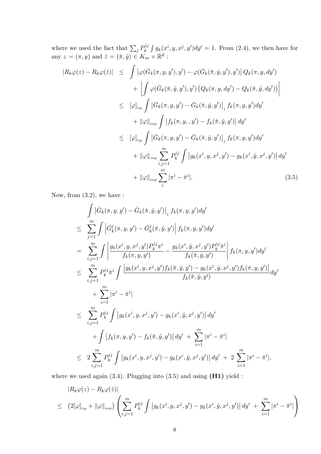where we used the fact that  $\sum_j P_k^{ij} \int g_k(x^i, y, x^j, y') dy' = 1$ . From (2.4), we then have for any  $z = (\pi, y)$  and  $\hat{z} = (\hat{\pi}, \hat{y}) \in K_m \times \mathbb{R}^d$ :

$$
|R_k \varphi(z) - R_k \varphi(\hat{z})| \leq \int |\varphi(\bar{G}_k(\pi, y, y'), y') - \varphi(\bar{G}_k(\hat{\pi}, \hat{y}, y'), y')| Q_k(\pi, y, dy')+ \left| \int \varphi(\bar{G}_k(\hat{\pi}, \hat{y}, y'), y') (Q_k(\pi, y, dy') - Q_k(\hat{\pi}, \hat{y}, dy')) \right|\leq [\varphi]_{lip} \int |\bar{G}_k(\pi, y, y') - \bar{G}_k(\hat{\pi}, \hat{y}, y')|_1 f_k(\pi, y, y') dy'+ ||\varphi||_{sup} \int |f_k(\pi, y, y') - f_k(\hat{\pi}, \hat{y}, y')| dy'= [\varphi]_{lip} \int |\bar{G}_k(\pi, y, y') - \bar{G}_k(\hat{\pi}, \hat{y}, y')|_1 f_k(\pi, y, y') dy'+ ||\varphi||_{sup} \sum_{i,j=1}^m P_k^{ij} \int |g_k(x^i, y, x^j, y') - g_k(x^i, \hat{y}, x^j, y')| dy'+ ||\varphi||_{sup} \sum_{i} |\pi^i - \hat{\pi}^i|. \qquad (3.5)
$$

Now, from  $(3.2)$ , we have:

$$
\int |\bar{G}_k(\pi, y, y') - \bar{G}_k(\hat{\pi}, \hat{y}, y')|_1 f_k(\pi, y, y') dy'
$$
\n
$$
\leq \sum_{j=1}^m \int \left| \bar{G}_k^j(\pi, y, y') - \bar{G}_k^j(\hat{\pi}, \hat{y}, y') \right| f_k(\pi, y, y') dy'
$$
\n
$$
= \sum_{i,j=1}^m \int \left| \frac{g_k(x^i, y, x^j, y') P_k^{ij} \pi^i}{f_k(\pi, y, y')} - \frac{g_k(x^i, \hat{y}, x^j, y') P_k^{ij} \hat{\pi}^i}{f_k(\hat{\pi}, \hat{y}, y')} \right| f_k(\pi, y, y') dy'
$$
\n
$$
\leq \sum_{i,j=1}^m P_k^{ij} \hat{\pi}^i \int \frac{|g_k(x^i, y, x^j, y') f_k(\hat{\pi}, \hat{y}, y') - g_k(x^i, \hat{y}, x^j, y') f_k(\pi, y, y')|}{f_k(\hat{\pi}, \hat{y}, y')} dy'
$$
\n
$$
+ \sum_{i=1}^m |\pi^i - \hat{\pi}^i|
$$
\n
$$
\leq \sum_{i,j=1}^m P_k^{ij} \int |g_k(x^i, y, x^j, y') - g_k(x^i, \hat{y}, x^j, y')| dy'
$$
\n
$$
+ \int |f_k(\pi, y, y') - f_k(\hat{\pi}, \hat{y}, y')| dy' + \sum_{i=1}^m |\pi^i - \hat{\pi}^i|
$$
\n
$$
\leq 2 \sum_{i,j=1}^m P_k^{ij} \int |g_k(x^i, y, x^j, y') - g_k(x^i, \hat{y}, x^j, y')| dy' + 2 \sum_{i=1}^m |\pi^i - \hat{\pi}^i|,
$$

where we used again  $(3.4)$ . Plugging into  $(3.5)$  and using  $(H1)$  yield :

$$
|R_k \varphi(z) - R_k \varphi(\hat{z})|
$$
  
\n
$$
\leq (2[\varphi]_{lip} + ||\varphi||_{sup}) \left( \sum_{i,j=1}^m P_k^{ij} \int |g_k(x^i, y, x^j, y') - g_k(x^i, \hat{y}, x^j, y')| dy' + \sum_{i=1}^m |\pi^i - \hat{\pi}^i| \right)
$$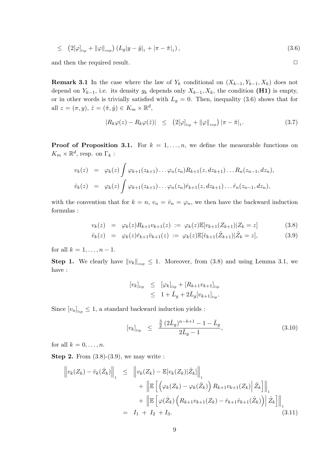$$
\leq (2[\varphi]_{lip} + ||\varphi||_{sup}) (L_g |y - \hat{y}|_1 + |\pi - \hat{\pi}|_1), \qquad (3.6)
$$

and then the required result.

**Remark 3.1** In the case where the law of  $Y_k$  conditional on  $(X_{k-1}, Y_{k-1}, X_k)$  does not depend on  $Y_{k-1}$ , i.e. its density  $g_k$  depends only  $X_{k-1}, X_k$ , the condition (H1) is empty, or in other words is trivially satisfied with  $L_g = 0$ . Then, inequality (3.6) shows that for all  $z = (\pi, y), \, \hat{z} = (\hat{\pi}, \hat{y}) \in K_m \times \mathbb{R}^d$ ,

$$
|R_k \varphi(z) - R_k \varphi(\hat{z})| \leq (2[\varphi]_{lip} + ||\varphi||_{sup}) |\pi - \hat{\pi}|_1.
$$
 (3.7)

 $\Box$ 

**Proof of Proposition 3.1.** For  $k = 1, ..., n$ , we define the measurable functions on  $K_m\times\mathbb{R}^d,$  resp. on  $\Gamma_k$  :

$$
v_k(z) = \varphi_k(z) \int \varphi_{k+1}(z_{k+1}) \dots \varphi_n(z_n) R_{k+1}(z, dz_{k+1}) \dots R_n(z_{n-1}, dz_n),
$$
  

$$
\hat{v}_k(z) = \varphi_k(z) \int \varphi_{k+1}(z_{k+1}) \dots \varphi_n(z_n) \hat{r}_{k+1}(z, dz_{k+1}) \dots \hat{r}_n(z_{n-1}, dz_n),
$$

with the convention that for  $k = n$ ,  $v_n = \hat{v}_n = \varphi_n$ , we then have the backward induction  ${\tt formulas:}$ 

$$
v_k(z) = \varphi_k(z) R_{k+1} v_{k+1}(z) := \varphi_k(z) \mathbb{E}[v_{k+1}(Z_{k+1}) | Z_k = z]
$$
(3.8)

$$
\hat{v}_k(z) = \varphi_k(z)\hat{r}_{k+1}\hat{v}_{k+1}(z) := \varphi_k(z)\mathbb{E}[\hat{v}_{k+1}(\hat{Z}_{k+1})|\hat{Z}_k = z],
$$
\n(3.9)

for all  $k = 1, ..., n - 1$ .

**Step 1.** We clearly have  $||v_k||_{\text{sup}} \leq 1$ . Moreover, from (3.8) and using Lemma 3.1, we have :

$$
[v_k]_{lip} \leq [\varphi_k]_{lip} + [R_{k+1}v_{k+1}]_{lip} \leq 1 + \bar{L}_g + 2\bar{L}_g[v_{k+1}]_{lip}.
$$

Since  $[v_n]_{\text{lin}} \leq 1$ , a standard backward induction yields:

$$
[v_k]_{lip} \leq \frac{\frac{3}{2} (2\bar{L}_g)^{n-k+1} - 1 - \bar{L}_g}{2\bar{L}_g - 1},
$$
\n(3.10)

for all  $k = 0, \ldots, n$ .

**Step 2.** From  $(3.8)-(3.9)$ , we may write:

$$
\begin{aligned}\n\left\|v_{k}(Z_{k}) - \hat{v}_{k}(\hat{Z}_{k})\right\|_{1} &\leq \left\|v_{k}(Z_{k}) - \mathbb{E}[v_{k}(Z_{k})|\hat{Z}_{k}]\right\|_{1} \\
&\quad + \left\|\mathbb{E}\left[\left(\varphi_{k}(Z_{k}) - \varphi_{k}(\hat{Z}_{k})\right)R_{k+1}v_{k+1}(Z_{k})\right|\hat{Z}_{k}\right]\right\|_{1} \\
&\quad + \left\|\mathbb{E}\left[\varphi(\hat{Z}_{k})\left(R_{k+1}v_{k+1}(Z_{k}) - \hat{r}_{k+1}\hat{v}_{k+1}(\hat{Z}_{k})\right)\right|\hat{Z}_{k}\right]\right\|_{1} \\
&= I_{1} + I_{2} + I_{3}.\n\end{aligned} \tag{3.11}
$$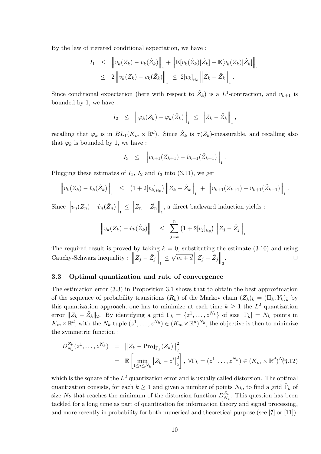By the law of iterated conditional expectation, we have:

$$
I_1 \leq \left\| v_k(Z_k) - v_k(\hat{Z}_k) \right\|_1 + \left\| \mathbb{E}[v_k(\hat{Z}_k)|\hat{Z}_k] - \mathbb{E}[v_k(Z_k)|\hat{Z}_k] \right\|_1
$$
  

$$
\leq 2 \left\| v_k(Z_k) - v_k(\hat{Z}_k) \right\|_1 \leq 2[v_k]_{lip} \left\| Z_k - \hat{Z}_k \right\|_1.
$$

Since conditional expectation (here with respect to  $\hat{Z}_k$ ) is a L<sup>1</sup>-contraction, and  $v_{k+1}$  is bounded by 1, we have:

$$
I_2 \leq \left\| \varphi_k(Z_k) - \varphi_k(\hat{Z}_k) \right\|_1 \leq \left\| Z_k - \hat{Z}_k \right\|_1,
$$

recalling that  $\varphi_k$  is in  $BL_1(K_m \times \mathbb{R}^d)$ . Since  $\hat{Z}_k$  is  $\sigma(Z_k)$ -measurable, and recalling also that  $\varphi_k$  is bounded by 1, we have :

$$
I_3 \leq \left\| v_{k+1}(Z_{k+1}) - \hat{v}_{k+1}(\hat{Z}_{k+1}) \right\|_1
$$

Plugging these estimates of  $I_1$ ,  $I_2$  and  $I_3$  into (3.11), we get

$$
\left\| v_k(Z_k) - \hat{v}_k(\hat{Z}_k) \right\|_1 \leq (1 + 2[v_k]_{lip}) \left\| Z_k - \hat{Z}_k \right\|_1 + \left\| v_{k+1}(Z_{k+1}) - \hat{v}_{k+1}(\hat{Z}_{k+1}) \right\|_1
$$

Since  $\left\|v_n(Z_n) - \hat{v}_n(\hat{Z}_n)\right\|_1 \le \left\|Z_n - \hat{Z}_n\right\|_1$ , a direct backward induction yields :

$$
\left\| v_k(Z_k) - \hat{v}_k(\hat{Z}_k) \right\|_1 \leq \sum_{j=k}^n \left( 1 + 2[v_j]_{lip} \right) \left\| Z_j - \hat{Z}_j \right\|_1
$$

The required result is proved by taking  $k = 0$ , substituting the estimate (3.10) and using Cauchy-Schwarz inequality :  $||Z_j - \hat{Z}_j||$   $\leq \sqrt{m+d} ||Z_j - \hat{Z}_j||$ .  $\Box$ 

#### 3.3 Optimal quantization and rate of convergence

The estimation error  $(3.3)$  in Proposition 3.1 shows that to obtain the best approximation of the sequence of probability transitions  $(R_k)$  of the Markov chain  $(Z_k)_k = (\Pi_k, Y_k)_k$  by this quantization approach, one has to minimize at each time  $k \geq 1$  the  $L^2$  quantization error  $||Z_k - \hat{Z}_k||_2$ . By identifying a grid  $\Gamma_k = \{z^1, \ldots, z^{N_k}\}\$  of size  $|\Gamma_k| = N_k$  points in  $K_m \times \mathbb{R}^d$ , with the  $N_k$ -tuple  $(z^1, \ldots, z^{N_k}) \in (K_m \times \mathbb{R}^d)^{N_k}$ , the objective is then to minimize the symmetric function :

$$
D_{N_k}^{Z_k}(z^1, ..., z^{N_k}) = ||Z_k - \text{Proj}_{\Gamma_k}(Z_k)||_2^2
$$
  
=  $\mathbb{E}\left[\min_{1 \le i \le N_k} |Z_k - z^i|_2^2\right], \forall \Gamma_k = (z^1, ..., z^{N_k}) \in (K_m \times \mathbb{R}^d)^{N_k}(3.12)$ 

which is the square of the  $L^2$  quantization error and is usually called distorsion. The optimal quantization consists, for each  $k \geq 1$  and given a number of points  $N_k$ , to find a grid  $\hat{\Gamma}_k$  of size  $N_k$  that reaches the minimum of the distorsion function  $D_{N_k}^{Z_k}$ . This question has been tackled for a long time as part of quantization for information theory and signal processing. and more recently in probability for both numerical and theoretical purpose (see [7] or [11]).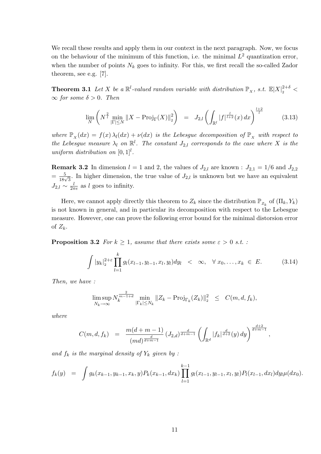We recall these results and apply them in our context in the next paragraph. Now, we focus on the behaviour of the minimum of this function, i.e. the minimal  $L^2$  quantization error, when the number of points  $N_k$  goes to infinity. For this, we first recall the so-called Zador theorem, see e.g. [7].

**Theorem 3.1** Let X be a  $\mathbb{R}^l$ -valued random variable with distribution  $\mathbb{P}_x$ , s.t.  $\mathbb{E}|X|_2^{2+\delta}$  $\infty$  for some  $\delta > 0$ . Then

$$
\lim_{N} \left( N^{\frac{2}{l}} \min_{|\Gamma| \le N} \|X - \text{Proj}_{\Gamma}(X)\|_{2}^{2} \right) = J_{2,l} \left( \int_{\mathbb{R}^{l}} |f|^{\frac{l}{l+2}}(x) dx \right)^{\frac{l+2}{l}} \tag{3.13}
$$

where  $\mathbb{P}_X(dx) = f(x)\lambda_l(dx) + \nu(dx)$  is the Lebesgue decomposition of  $\mathbb{P}_X$  with respect to the Lebesgue measure  $\lambda_l$  on  $\mathbb{R}^l$ . The constant  $J_{2,l}$  corresponds to the case where X is the uniform distribution on  $[0,1]^l$ .

**Remark 3.2** In dimension  $l = 1$  and 2, the values of  $J_{2,l}$  are known :  $J_{2,1} = 1/6$  and  $J_{2,2}$  $=\frac{5}{18\sqrt{3}}$ . In higher dimension, the true value of  $J_{2,l}$  is unknown but we have an equivalent  $J_{2,l} \sim \frac{l}{2\pi e}$  as l goes to infinity.

Here, we cannot apply directly this theorem to  $Z_k$  since the distribution  $\mathbb{P}_{Z_k}$  of  $(\Pi_k, Y_k)$ is not known in general, and in particular its decomposition with respect to the Lebesgue measure. However, one can prove the following error bound for the minimal distorsion error of  $Z_k$ .

**Proposition 3.2** For  $k \geq 1$ , assume that there exists some  $\varepsilon > 0$  s.t. :

$$
\int |y_k|_2^{2+\varepsilon} \prod_{l=1}^k g_l(x_{l-1}, y_{l-1}, x_l, y_l) dy_l \quad < \quad \infty, \quad \forall \ x_0, \dots, x_k \in E. \tag{3.14}
$$

Then, we have:

$$
\limsup_{N_k \to \infty} N_k^{\frac{2}{m-1+d}} \min_{|\Gamma_k| \le N_k} \|Z_k - \text{Proj}_{\Gamma_k}(Z_k)\|_2^2 \le C(m, d, f_k),
$$

 $where$ 

$$
C(m,d,f_k) = \frac{m(d+m-1)}{(md)^{\frac{d}{d+m-1}}} (J_{2,d})^{\frac{d}{d+m-1}} \left( \int_{\mathbb{R}^d} |f_k|^{\frac{d}{d+2}}(y) dy \right)^{\frac{d+2}{d+m-1}},
$$

and  $f_k$  is the marginal density of  $Y_k$  given by:

$$
f_k(y) = \int g_k(x_{k-1}, y_{k-1}, x_k, y) P_k(x_{k-1}, dx_k) \prod_{l=1}^{k-1} g_l(x_{l-1}, y_{l-1}, x_l, y_l) P_l(x_{l-1}, dx_l) dy_l \mu(dx_0).
$$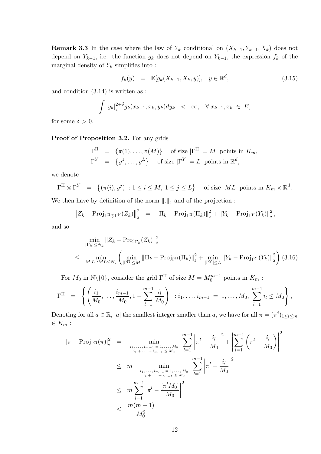**Remark 3.3** In the case where the law of  $Y_k$  conditional on  $(X_{k-1}, Y_{k-1}, X_k)$  does not depend on  $Y_{k-1}$ , i.e. the function  $g_k$  does not depend on  $Y_{k-1}$ , the expression  $f_k$  of the marginal density of  $Y_k$  simplifies into :

$$
f_k(y) = \mathbb{E}[g_k(X_{k-1}, X_k, y)], \quad y \in \mathbb{R}^d,
$$
\n(3.15)

and condition  $(3.14)$  is written as :

$$
\int |y_k|_2^{2+\delta} g_k(x_{k-1}, x_k, y_k) dy_k \quad < \quad \infty, \quad \forall \ x_{k-1}, x_k \in E
$$

for some  $\delta > 0$ .

## Proof of Proposition 3.2. For any grids

$$
\Gamma^{\Pi} = \{ \pi(1), \dots, \pi(M) \} \quad \text{of size } |\Gamma^{\Pi}| = M \text{ points in } K_m,
$$
  

$$
\Gamma^{Y} = \{ y^{1}, \dots, y^{L} \} \quad \text{of size } |\Gamma^{Y}| = L \text{ points in } \mathbb{R}^{d},
$$

we denote

$$
\Gamma^{\Pi} \otimes \Gamma^{Y} = \{ (\pi(i), y^{j}) : 1 \le i \le M, 1 \le j \le L \} \text{ of size } ML \text{ points in } K_{m} \times \mathbb{R}^{d}.
$$

We then have by definition of the norm  $\|.\|_2$  and of the projection:

$$
\|Z_k - \text{Proj}_{\Gamma^{\Pi} \otimes \Gamma^Y} (Z_k) \|_{2}^{2} = \| \Pi_k - \text{Proj}_{\Gamma^{\Pi}} (\Pi_k) \|_{2}^{2} + \| Y_k - \text{Proj}_{\Gamma^Y} (Y_k) \|_{2}^{2}
$$

and so

$$
\min_{|\Gamma_k| \le N_k} \|Z_k - \text{Proj}_{\Gamma_k}(Z_k)\|_2^2
$$
\n
$$
\le \min_{M, L \, : ML \le N_k} \left( \min_{|\Gamma^{\Pi}| \le M} \|\Pi_k - \text{Proj}_{\Gamma^{\Pi}}(\Pi_k)\|_2^2 + \min_{|\Gamma^Y| \le L} \|Y_k - \text{Proj}_{\Gamma^Y}(Y_k)\|_2^2 \right) (3.16)
$$

For  $M_0$  in  $\mathbb{N}\backslash\{0\}$ , consider the grid  $\Gamma^{\Pi}$  of size  $M = M_0^{m-1}$  points in  $K_m$ :

$$
\Gamma^{\Pi} = \left\{ \left( \frac{i_1}{M_0}, \ldots, \frac{i_{m-1}}{M_0}, 1 - \sum_{l=1}^{m-1} \frac{i_l}{M_0} \right) : i_1, \ldots, i_{m-1} = 1, \ldots, M_0, \sum_{l=1}^{m-1} i_l \le M_0 \right\},\,
$$

Denoting for all  $a \in \mathbb{R}$ , [a] the smallest integer smaller than a, we have for all  $\pi = (\pi^i)_{1 \leq i \leq m}$  $\in K_m$ :

$$
|\pi - \text{Proj}_{\Gamma^{\Pi}}(\pi)|_{2}^{2} = \min_{\substack{i_{1}, \dots, i_{m-1} = 1, \dots, M_{0} \\ i_{1} + \dots + i_{m-1} \le M_{0}}} \sum_{l=1}^{m-1} \left| \pi^{l} - \frac{i_{l}}{M_{0}} \right|^{2} + \left| \sum_{l=1}^{m-1} \left( \pi^{l} - \frac{i_{l}}{M_{0}} \right) \right|^{2}
$$
  

$$
\le m \min_{\substack{i_{1}, \dots, i_{m-1} = 1, \dots, M_{0} \\ i_{1} + \dots + i_{m-1} \le M_{0}}} \sum_{l=1}^{m-1} \left| \pi^{l} - \frac{i_{l}}{M_{0}} \right|^{2}
$$
  

$$
\le m \sum_{l=1}^{m-1} \left| \pi^{l} - \frac{\left[ \pi^{l} M_{0} \right]}{M_{0}} \right|^{2}
$$
  

$$
\le \frac{m(m-1)}{M_{0}^{2}}.
$$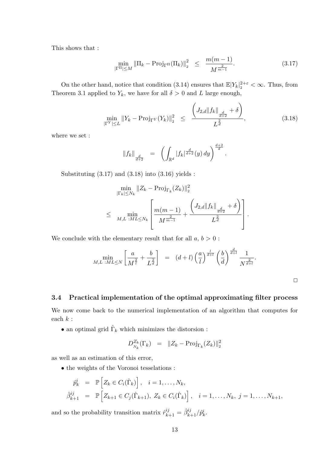This shows that :

$$
\min_{\left|\Gamma^{\Pi}\right| \le M} \left|\left|\Pi_{k} - \text{Proj}_{\Gamma^{\Pi}}(\Pi_{k})\right|\right|_{2}^{2} \le \frac{m(m-1)}{M^{\frac{2}{m-1}}}.
$$
\n(3.17)

On the other hand, notice that condition (3.14) ensures that  $\mathbb{E}|Y_k|_2^{2+\varepsilon} < \infty$ . Thus, from Theorem 3.1 applied to  $Y_k$ , we have for all  $\delta > 0$  and L large enough,

$$
\min_{|\Gamma^Y| \le L} \|Y_k - \text{Proj}_{\Gamma^Y}(Y_k)\|_2^2 \le \frac{\left(J_{2,d} \|f_k\|_{\frac{d}{d+2}} + \delta\right)}{L^{\frac{2}{d}}},\tag{3.18}
$$

where we set :

$$
||f_k||_{\frac{d}{d+2}} = \left( \int_{\mathbb{R}^d} |f_k|^{\frac{d}{d+2}}(y) dy \right)^{\frac{d+2}{d}}.
$$

Substituting  $(3.17)$  and  $(3.18)$  into  $(3.16)$  yields:

$$
\min_{|\Gamma_k| \le N_k} \|Z_k - \text{Proj}_{\Gamma_k}(Z_k)\|_2^2
$$
\n
$$
\le \min_{M, L \, : ML \le N_k} \left[ \frac{m(m-1)}{M^{\frac{2}{m-1}}} + \frac{\left(J_{2,d} \|f_k\|_{\frac{d}{d+2}} + \delta\right)}{L^{\frac{2}{d}}}\right]
$$

We conclude with the elementary result that for all  $a, b > 0$ :

$$
\min_{M,L \; : ML \le N} \left[ \frac{a}{M^{\frac{2}{l}}} + \frac{b}{L^{\frac{2}{d}}}\right] \;\; = \;\; (d+l) \left(\frac{a}{l}\right)^{\frac{l}{d+l}} \left(\frac{b}{d}\right)^{\frac{d}{d+l}} \frac{1}{N^{\frac{2}{d+l}}}.
$$

 $\Box$ 

#### Practical implementation of the optimal approximating filter process 3.4

We now come back to the numerical implementation of an algorithm that computes for each  $k$  :

 $\bullet$  an optimal grid  $\widehat{\Gamma}_k$  which minimizes the distorsion :

$$
D_{N_k}^{Z_k}(\Gamma_k) = ||Z_k - \text{Proj}_{\Gamma_k}(Z_k)||_2^2
$$

as well as an estimation of this error,

 $\bullet$  the weights of the Voronoi tesselations :

$$
\hat{p}_{k}^{i} = \mathbb{P}\left[Z_{k} \in C_{i}(\hat{\Gamma}_{k})\right], \quad i = 1, ..., N_{k},
$$
\n
$$
\hat{\beta}_{k+1}^{ij} = \mathbb{P}\left[Z_{k+1} \in C_{j}(\hat{\Gamma}_{k+1}), Z_{k} \in C_{i}(\hat{\Gamma}_{k})\right], \quad i = 1, ..., N_{k}, j = 1, ..., N_{k+1},
$$

and so the probability transition matrix  $\hat{r}_{k+1}^{ij}=\hat{\beta}_{k+1}^{ij}/\hat{p}_{k}^{i}.$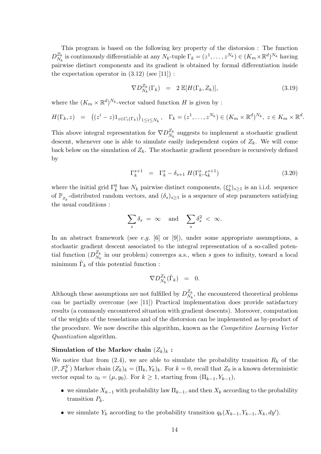This program is based on the following key property of the distorsion : The function  $D_{N_k}^{Z_k}$  is continuously differentiable at any  $N_k$ -tuple  $\Gamma_k = (z^1, \ldots, z^{N_k}) \in (K_m \times \mathbb{R}^d)^{N_k}$  having pairwise distinct components and its gradient is obtained by formal differentiation inside the expectation operator in  $(3.12)$  (see [11]):

$$
\nabla D_{N_k}^{Z_k}(\Gamma_k) = 2 \mathbb{E}[H(\Gamma_k, Z_k)], \qquad (3.19)
$$

where the  $(K_m \times \mathbb{R}^d)^{N_k}$ -vector valued function H is given by :

$$
H(\Gamma_k, z) = ((z^i - z)1_{z \in C_i(\Gamma_k)})_{1 \leq i \leq N_k}, \quad \Gamma_k = (z^1, \dots, z^{N_k}) \in (K_m \times \mathbb{R}^d)^{N_k}, \ z \in K_m \times \mathbb{R}^d
$$

This above integral representation for  $\nabla D_{N_k}^{Z_k}$  suggests to implement a stochastic gradient descent, whenever one is able to simulate easily independent copies of  $Z_k$ . We will come back below on the simulation of  $Z_k$ . The stochastic gradient procedure is recursively defined by

$$
\Gamma_k^{s+1} = \Gamma_k^s - \delta_{s+1} H(\Gamma_k^s, \xi_k^{s+1}) \tag{3.20}
$$

where the initial grid  $\Gamma_k^0$  has  $N_k$  pairwise distinct components,  $(\xi_k^s)_{s\geq 1}$  is an i.i.d. sequence of  $\mathbb{P}_{z_k}$ -distributed random vectors, and  $(\delta_s)_{s\geq 1}$  is a sequence of step parameters satisfying the usual conditions:

$$
\sum_{s} \delta_s = \infty \quad \text{and} \quad \sum_{s} \delta_s^2 < \infty.
$$

In an abstract framework (see e.g. [6] or [9]), under some appropriate assumptions, a stochastic gradient descent associated to the integral representation of a so-called potential function  $(D_{N_k}^{Z_k})$  in our problem) converges a.s., when s goes to infinity, toward a local minimum  $\hat{\Gamma}_k$  of this potential function:

$$
\nabla D_{N_k}^{Z_k}(\hat{\Gamma}_k) = 0.
$$

Although these assumptions are not fulfilled by  $D_{N_k}^{Z_k}$ , the encountered theoretical problems can be partially overcome (see [11]) Practical implementation does provide satisfactory results (a commonly encountered situation with gradient descents). Moreover, computation of the weights of the tesselations and of the distorsion can be implemented as by-product of the procedure. We now describe this algorithm, known as the *Competitive Learning Vector Quantization* algorithm.

## Simulation of the Markov chain  $(Z_k)_k$ :

We notice that from (2.4), we are able to simulate the probability transition  $R_k$  of the  $(\mathbb{P},\mathcal{F}_k^Y)$  Markov chain  $(Z_k)_k = (\Pi_k,Y_k)_k$ . For  $k=0$ , recall that  $Z_0$  is a known deterministic vector equal to  $z_0 = (\mu, y_0)$ . For  $k \ge 1$ , starting from  $(\Pi_{k-1}, Y_{k-1})$ ,

- we simulate  $X_{k-1}$  with probability law  $\Pi_{k-1}$ , and then  $X_k$  according to the probability transition  $P_k$ .
- we simulate  $Y_k$  according to the probability transition  $q_k(X_{k-1}, Y_{k-1}, X_k, dy')$ .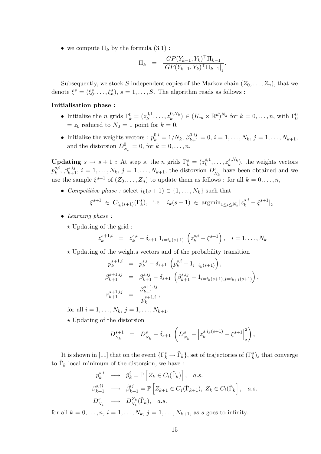• we compute  $\Pi_k$  by the formula  $(3.1)$ :

$$
\Pi_k = \frac{GP(Y_{k-1}, Y_k)^\top \Pi_{k-1}}{|GP(Y_{k-1}, Y_k)^\top \Pi_{k-1}|}.
$$

Subsequently, we stock S independent copies of the Markov chain  $(Z_0, \ldots, Z_n)$ , that we denote  $\xi^s = (\xi_0^s, \ldots, \xi_n^s), s = 1, \ldots, S$ . The algorithm reads as follows :

### Initialisation phase:

- Initialize the *n* grids  $\Gamma_k^0 = (z_k^{0,1}, \ldots, z_k^{0,N_k}) \in (K_m \times \mathbb{R}^d)^{N_k}$  for  $k = 0, \ldots, n$ , with  $\Gamma_0^0$  $= z_0$  reduced to  $N_0 = 1$  point for  $k = 0$ .
- Initialize the weights vectors :  $p_k^{0,i} = 1/N_k$ ,  $\beta_{k+1}^{0,ij} = 0$ ,  $i = 1, ..., N_k$ ,  $j = 1, ..., N_{k+1}$ , and the distorsion  $D_{N_k}^0 = 0$ , for  $k = 0, ..., n$ .

**Updating**  $s \to s+1$ : At step  $s$ , the  $n$  grids  $\Gamma_k^s = (z_k^{s,1}, \ldots, z_k^{s,N_k})$ , the weights vectors  $p_k^{s,i}, \beta_{k+1}^{s,ij}, i = 1, \ldots, N_k, j = 1, \ldots, N_{k+1}$ , the distorsion  $D_{N_k}^s$  have been obtained and we use the sample  $\xi^{s+1}$  of  $(Z_0,\ldots,Z_n)$  to update them as follows: for all  $k=0,\ldots,n$ ,

• Competitive phase : select  $i_k(s+1) \in \{1, ..., N_k\}$  such that

$$
\xi^{s+1} \in C_{i_k(s+1)}(\Gamma_k^s)
$$
, i.e.  $i_k(s+1) \in \operatorname{argmin}_{1 \le i \le N_k} |z_k^{s,i} - \xi^{s+1}|_2$ .

- $\bullet$  Learning phase:
	- $\star$  Updating of the grid:

$$
z_k^{s+1,i} = z_k^{s,i} - \delta_{s+1} 1_{i=i_k(s+1)} \left( z_k^{s,i} - \xi^{s+1} \right), \quad i = 1, \dots, N_k
$$

 $\star$  Updating of the weights vectors and of the probability transition

$$
p_k^{s+1,i} = p_k^{s,i} - \delta_{s+1} \left( p_k^{s,i} - 1_{i=i_k(s+1)} \right),
$$
  
\n
$$
\beta_{k+1}^{s+1,ij} = \beta_{k+1}^{s,ij} - \delta_{s+1} \left( \beta_{k+1}^{s,ij} - 1_{i=i_k(s+1),j=i_{k+1}(s+1)} \right),
$$
  
\n
$$
r_{k+1}^{s+1,ij} = \frac{\beta_{k+1}^{s+1,ij}}{p_k^{s+1,i}},
$$

for all  $i = 1, ..., N_k$ ,  $j = 1, ..., N_{k+1}$ .

 $\star$  Updating of the distorsion

 $\overline{1}$ 

$$
D_{N_k}^{s+1} = D_{N_k}^s - \delta_{s+1} \left( D_{N_k}^s - \left| z_k^{s,i_k(s+1)} - \xi^{s+1} \right|_2^2 \right),
$$

It is shown in [11] that on the event  $\{\Gamma_k^s \to \hat{\Gamma}_k\}$ , set of trajectories of  $(\Gamma_k^s)_s$  that converge to  $\hat{\Gamma}_k$  local minimum of the distorsion, we have:

$$
p_k^{s,i} \longrightarrow \hat{p}_k^i = \mathbb{P}\left[Z_k \in C_i(\hat{\Gamma}_k)\right], \quad a.s.
$$
  
\n
$$
\beta_{k+1}^{s,ij} \longrightarrow \hat{\beta}_{k+1}^{ij} = \mathbb{P}\left[Z_{k+1} \in C_j(\hat{\Gamma}_{k+1}), \ Z_k \in C_i(\hat{\Gamma}_k\right], \quad a.s.
$$
  
\n
$$
D_{N_k}^s \longrightarrow D_{N_k}^{Z_k}(\hat{\Gamma}_k), \quad a.s.
$$

for all  $k = 0, ..., n$ ,  $i = 1, ..., N_k$ ,  $j = 1, ..., N_{k+1}$ , as s goes to infinity.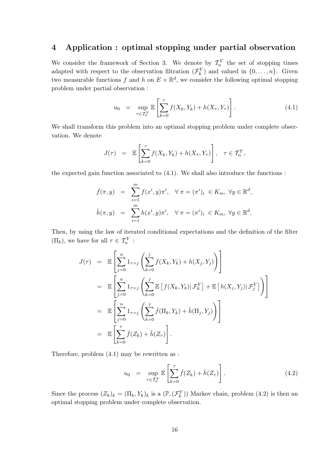#### Application : optimal stopping under partial observation  $\boldsymbol{4}$

We consider the framework of Section 3. We denote by  $\mathcal{T}_n^Y$  the set of stopping times adapted with respect to the observation filtration  $(\mathcal{F}_k^Y)$  and valued in  $\{0,\ldots,n\}$ . Given two measurable functions f and h on  $E \times \mathbb{R}^d$ , we consider the following optimal stopping problem under partial observation:

$$
u_0 = \sup_{\tau \in \mathcal{T}_n^Y} \mathbb{E} \left[ \sum_{k=0}^{\tau} f(X_k, Y_k) + h(X_{\tau}, Y_{\tau}) \right]. \tag{4.1}
$$

We shall transform this problem into an optimal stopping problem under complete observation. We denote

$$
J(\tau) = \mathbb{E}\left[\sum_{k=0}^{\tau} f(X_k, Y_k) + h(X_{\tau}, Y_{\tau})\right], \quad \tau \in \mathcal{T}_n^Y,
$$

the expected gain function associated to  $(4.1)$ . We shall also introduce the functions :

$$
\hat{f}(\pi, y) = \sum_{i=1}^{m} f(x^i, y) \pi^i, \quad \forall \pi = (\pi^i)_i \in K_m, \ \forall y \in \mathbb{R}^d,
$$

$$
\hat{h}(\pi, y) = \sum_{i=1}^{m} h(x^i, y) \pi^i, \quad \forall \pi = (\pi^i)_i \in K_m, \ \forall y \in \mathbb{R}^d.
$$

Then, by using the law of iterated conditional expectations and the definition of the filter  $(\Pi_k)$ , we have for all  $\tau \in \mathcal{T}_n^Y$ :

$$
J(\tau) = \mathbb{E}\left[\sum_{j=0}^{n} 1_{\tau=j} \left(\sum_{k=0}^{j} f(X_k, Y_k) + h(X_j, Y_j)\right)\right]
$$
  
\n
$$
= \mathbb{E}\left[\sum_{j=0}^{n} 1_{\tau=j} \left(\sum_{k=0}^{j} \mathbb{E}\left[f(X_k, Y_k)|\mathcal{F}_k^Y\right] + \mathbb{E}\left[h(X_j, Y_j)|\mathcal{F}_j^Y\right]\right)\right]
$$
  
\n
$$
= \mathbb{E}\left[\sum_{j=0}^{n} 1_{\tau=j} \left(\sum_{k=0}^{j} \hat{f}(\Pi_k, Y_k) + \hat{h}(\Pi_j, Y_j)\right)\right]
$$
  
\n
$$
= \mathbb{E}\left[\sum_{k=0}^{\tau} \hat{f}(Z_k) + \hat{h}(Z_{\tau})\right].
$$

Therefore, problem  $(4.1)$  may be rewritten as:

$$
u_0 = \sup_{\tau \in \mathcal{T}_n^Y} \mathbb{E} \left[ \sum_{k=0}^{\tau} \hat{f}(Z_k) + \hat{h}(Z_{\tau}) \right]. \tag{4.2}
$$

Since the process  $(Z_k)_k = (\Pi_k, Y_k)_k$  is a  $(\mathbb{P}, (\mathcal{F}_k^Y))$  Markov chain, problem (4.2) is then an optimal stopping problem under complete observation.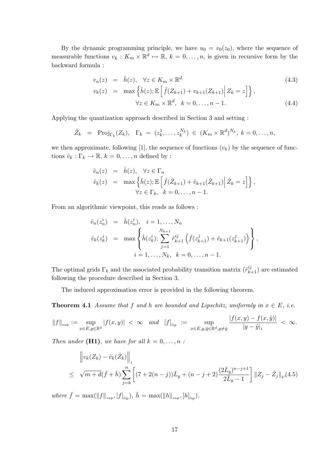By the dynamic programming principle, we have  $u_0 = v_0(z_0)$ , where the sequence of measurable functions  $v_k: K_m \times \mathbb{R}^d \mapsto \mathbb{R}, k = 0, \ldots, n$ , is given in recursive form by the backward formula:

$$
v_n(z) = \hat{h}(z), \quad \forall z \in K_m \times \mathbb{R}^d
$$
  
\n
$$
v_k(z) = \max \left\{ \hat{h}(z) ; \mathbb{E} \left[ \hat{f}(Z_{k+1}) + v_{k+1}(Z_{k+1}) \middle| Z_k = z \right] \right\},
$$
  
\n
$$
\forall z \in K_m \times \mathbb{R}^d, \quad k = 0, \dots, n-1.
$$
\n(4.4)

Applying the quantization approach described in Section 3 and setting:

$$
\hat{Z}_k = \text{Proj}_{\Gamma_k}(Z_k), \quad \Gamma_k = (z_k^1, \dots, z_k^{N_k}) \in (K_m \times \mathbb{R}^d)^{N_k}, \ k = 0, \dots, n,
$$

we then approximate, following [1], the sequence of functions  $(v_k)$  by the sequence of functions  $\hat{v}_k : \Gamma_k \to \mathbb{R}, k = 0, \ldots, n$  defined by :

$$
\hat{v}_n(z) = h(z), \quad \forall z \in \Gamma_n
$$
  
\n
$$
\hat{v}_k(z) = \max \left\{ \hat{h}(z) ; \mathbb{E} \left[ \hat{f}(\hat{Z}_{k+1}) + \hat{v}_{k+1}(\hat{Z}_{k+1}) \middle| \hat{Z}_k = z \right] \right\},
$$
  
\n
$$
\forall z \in \Gamma_k, \quad k = 0, \dots, n-1.
$$

From an algorithmic viewpoint, this reads as follows:

$$
\hat{v}_n(z_n^i) = \hat{h}(z_n^i), \quad i = 1, ..., N_n
$$
  

$$
\hat{v}_k(z_k^i) = \max\left\{\hat{h}(z_k^i); \sum_{j=1}^{N_{k+1}} \hat{r}_{k+1}^{ij} \left(\hat{f}(z_{k+1}^j) + \hat{v}_{k+1}(z_{k+1}^j)\right)\right\},
$$
  

$$
i = 1, ..., N_k, \quad k = 0, ..., n-1.
$$

The optimal grids  $\Gamma_k$  and the associated probability transition matrix  $(\hat{r}^{ij}_{k+1})$  are estimated following the procedure described in Section 3.

The induced approximation error is provided in the following theorem.

**Theorem 4.1** Assume that f and h are bounded and Lipschitz, uniformly in  $x \in E$ , i.e.

$$
\|f\|_{\sup}:=\sup_{x\in E, y\in \mathbb{R}^d}|f(x,y)|\ <\ \infty\quad and \quad [f]_{lip}\ :=\ \sup_{x\in E, y, \hat{y}\in \mathbb{R}^d, y\neq \hat{y}}\frac{|f(x,y)-f(x,\hat{y})|}{|y-\hat{y}|_1}\ <\ \infty.
$$

Then under (H1), we have for all  $k = 0, \ldots, n$ :

$$
\|v_{k}(Z_{k}) - \hat{v}_{k}(\hat{Z}_{k})\|_{1} \leq \sqrt{m+d(\bar{f}+\bar{h})} \sum_{j=k}^{n} \left[ (7+2(n-j))\bar{L}_{g} + (n-j+2) \frac{(2\bar{L}_{g})^{n-j+1}}{2\bar{L}_{g}-1} \right] \|Z_{j} - \hat{Z}_{j}\|_{2}, (4.5)
$$

where  $\bar{f} = \max(||f||_{sup}, [f]_{lip})$ ,  $\bar{h} = \max(||h||_{sup}, [h]_{lip})$ .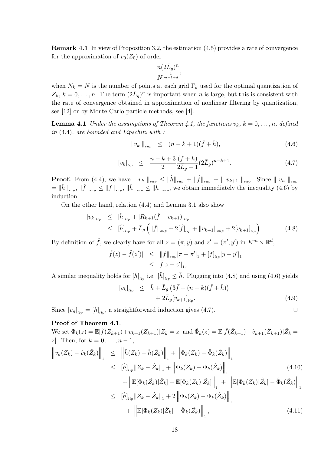**Remark 4.1** In view of Proposition 3.2, the estimation (4.5) provides a rate of convergence for the approximation of  $v_0(Z_0)$  of order

$$
\frac{n(2\bar{L}_g)^n}{N^{\frac{1}{m-1+d}}},
$$

when  $N_k = N$  is the number of points at each grid  $\Gamma_k$  used for the optimal quantization of  $Z_k, k = 0, \ldots, n$ . The term  $(2\bar{L}_q)^n$  is important when n is large, but this is consistent with the rate of convergence obtained in approximation of nonlinear filtering by quantization, see [12] or by Monte-Carlo particle methods, see [4].

**Lemma 4.1** Under the assumptions of Theorem 4.1, the functions  $v_k$ ,  $k = 0, \ldots, n$ , defined in  $(4.4)$ , are bounded and Lipschitz with :

$$
\| v_k \|_{sup} \le (n - k + 1)(\bar{f} + \bar{h}), \tag{4.6}
$$

$$
[v_k]_{lip} \leq \frac{n-k+3}{2} \frac{(\bar{f}+\bar{h})}{2\bar{L}_g - 1} (2\bar{L}_g)^{n-k+1}.
$$
 (4.7)

**Proof.** From (4.4), we have  $|| v_k ||_{sup} \le ||\hat{h}||_{sup} + ||\hat{f}||_{sup} + || v_{k+1} ||_{sup}$ . Since  $|| v_n ||_{sup}$  $=\|\hat{h}\|_{sup}, \|\hat{f}\|_{sup} \leq \|f\|_{sup}, \|\hat{h}\|_{sup} \leq \|h\|_{sup},$  we obtain immediately the inequality (4.6) by induction.

On the other hand, relation  $(4.4)$  and Lemma 3.1 also show

$$
[v_k]_{lip} \leq [\hat{h}]_{lip} + [R_{k+1}(\hat{f} + v_{k+1})]_{lip} \leq [\hat{h}]_{lip} + \bar{L}_g (||\hat{f}||_{sup} + 2[\hat{f}]_{lip} + ||v_{k+1}||_{sup} + 2[v_{k+1}]_{lip}).
$$
\n(4.8)

By definition of  $\hat{f}$ , we clearly have for all  $z = (\pi, y)$  and  $z' = (\pi', y')$  in  $K^m \times \mathbb{R}^d$ ,

$$
|\hat{f}(z) - \hat{f}(z')| \leq ||f||_{sup} |\pi - \pi'|_{1} + [f]_{lip} |y - y'|_{1}
$$
  

$$
\leq \bar{f}|z - z'|_{1},
$$

A similar inequality holds for  $[h]_{\mu\nu}$  i.e.  $[\hat{h}]_{\mu\nu} \leq \bar{h}$ . Plugging into (4.8) and using (4.6) yields

$$
[v_k]_{lip} \leq \bar{h} + \bar{L}_g \left( 3\bar{f} + (n - k)(\bar{f} + \bar{h}) \right) + 2\bar{L}_g [v_{k+1}]_{lip}.
$$
\n(4.9)

Since  $[v_n]_{lip} = [\hat{h}]_{lip}$ , a straightforward induction gives (4.7).

 $\Box$ 

## Proof of Theorem 4.1.

We set  $\Phi_k(z) = \mathbb{E}[\hat{f}(Z_{k+1}) + v_{k+1}(Z_{k+1}) | Z_k = z]$  and  $\hat{\Phi}_k(z) = \mathbb{E}[\hat{f}(\hat{Z}_{k+1}) + \hat{v}_{k+1}(\hat{Z}_{k+1}) | \hat{Z}_k = z]$ *z*]. Then, for  $k = 0, ..., n - 1$ ,  $\left\|v_k(Z_k)-\hat{v}_k(\hat{Z}_k)\right\|_1 \leq \left\|\hat{h}(Z_k)-\hat{h}(\hat{Z}_k)\right\|_1 + \left\|\Phi_k(Z_k)-\hat{\Phi}_k(\hat{Z}_k)\right\|_1$ 

$$
\leq \left\| \hat{h} \right\|_{lip} \left\| Z_k - \hat{Z}_k \right\|_1 + \left\| \Phi_k(Z_k) - \Phi_k(\hat{Z}_k) \right\|_1 \tag{4.10}
$$

$$
+ \left\| \mathbb{E}[\Phi_k(\hat{Z}_k)|\hat{Z}_k] - \mathbb{E}[\Phi_k(Z_k)|\hat{Z}_k] \right\|_1 + \left\| \mathbb{E}[\Phi_k(Z_k)|\hat{Z}_k] - \hat{\Phi}_k(\hat{Z}_k) \right\|_1
$$
  
\n
$$
\leq \left[ \hat{h} \right]_{lip} \|Z_k - \hat{Z}_k\|_1 + 2 \left\| \Phi_k(Z_k) - \Phi_k(\hat{Z}_k) \right\|_1
$$
  
\n
$$
+ \left\| \mathbb{E}[\Phi_k(Z_k)|\hat{Z}_k] - \hat{\Phi}_k(\hat{Z}_k) \right\|_1, \tag{4.11}
$$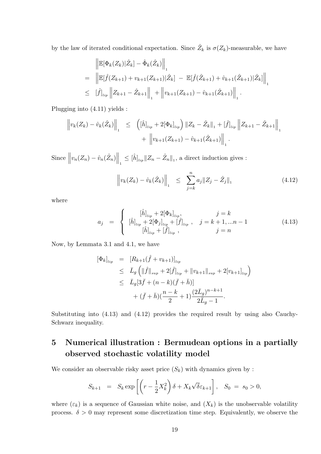by the law of iterated conditional expectation. Since  $\hat{Z}_k$  is  $\sigma(Z_k)$ -measurable, we have

$$
\|\mathbb{E}[\Phi_k(Z_k)|\hat{Z}_k] - \hat{\Phi}_k(\hat{Z}_k)\|_1
$$
\n
$$
= \|\mathbb{E}[\hat{f}(Z_{k+1}) + v_{k+1}(Z_{k+1})|\hat{Z}_k] - \mathbb{E}[\hat{f}(\hat{Z}_{k+1}) + \hat{v}_{k+1}(\hat{Z}_{k+1})|\hat{Z}_k]\|_1
$$
\n
$$
\leq [\hat{f}]_{lip} \|Z_{k+1} - \hat{Z}_{k+1}\|_1 + \|v_{k+1}(Z_{k+1}) - \hat{v}_{k+1}(\hat{Z}_{k+1})\|_1.
$$

Plugging into  $(4.11)$  yields :

$$
\left\| v_k(Z_k) - \hat{v}_k(\hat{Z}_k) \right\|_1 \leq \left( [\hat{h}]_{\text{lip}} + 2[\Phi_k]_{\text{lip}} \right) \|Z_k - \hat{Z}_k\|_1 + [\hat{f}]_{\text{lip}} \left\| Z_{k+1} - \hat{Z}_{k+1} \right\|_1 + \left\| v_{k+1}(Z_{k+1}) - \hat{v}_{k+1}(\hat{Z}_{k+1}) \right\|_1.
$$

Since  $\left\|v_n(Z_n) - \hat{v}_n(\hat{Z}_n)\right\|_1 \leq \left[\hat{h}\right]_{lip} \|Z_n - \hat{Z}_n\|_1$ , a direct induction gives :

$$
\left\| v_k(Z_k) - \hat{v}_k(\hat{Z}_k) \right\|_1 \leq \sum_{j=k}^n a_j \|Z_j - \hat{Z}_j\|_1 \tag{4.12}
$$

where

$$
a_j = \begin{cases} [\hat{h}]_{lip} + 2[\Phi_k]_{lip}, & j = k \\ [\hat{h}]_{lip} + 2[\Phi_j]_{lip} + [\hat{f}]_{lip}, & j = k+1,...n-1 \\ [\hat{h}]_{lip} + [\hat{f}]_{lip}, & j = n \end{cases}
$$
(4.13)

Now, by Lemmata 3.1 and 4.1, we have

$$
\begin{array}{rcl} [\Phi_k]_{lip} & = & [R_{k+1}(\hat{f} + v_{k+1})]_{lip} \\ & \leq & \bar{L}_g \left( \|\hat{f}\|_{sup} + 2[\hat{f}]_{lip} + \|v_{k+1}\|_{sup} + 2[v_{k+1}]_{lip} \right) \\ & \leq & \bar{L}_g[3\bar{f} + (n-k)(\bar{f} + \bar{h})] \\ & + (\bar{f} + \bar{h})(\frac{n-k}{2} + 1)\frac{(2\bar{L}_g)^{n-k+1}}{2\bar{L}_g - 1} .\end{array}
$$

Substituting into  $(4.13)$  and  $(4.12)$  provides the required result by using also Cauchy-Schwarz inequality.

## Numerical illustration : Bermudean options in a partially  $\overline{5}$ observed stochastic volatility model

We consider an observable risky asset price  $(S_k)$  with dynamics given by :

$$
S_{k+1} = S_k \exp\left[ \left( r - \frac{1}{2} X_k^2 \right) \delta + X_k \sqrt{\delta} \varepsilon_{k+1} \right], \quad S_0 = s_0 > 0,
$$

where  $(\varepsilon_k)$  is a sequence of Gaussian white noise, and  $(X_k)$  is the unobservable volatility process.  $\delta > 0$  may represent some discretization time step. Equivalently, we observe the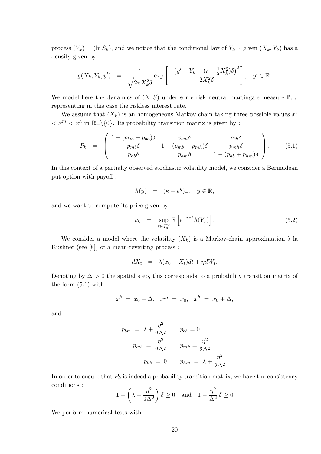process  $(Y_k) = (\ln S_k)$ , and we notice that the conditional law of  $Y_{k+1}$  given  $(X_k, Y_k)$  has a density given by:

$$
g(X_k, Y_k, y') = \frac{1}{\sqrt{2\pi X_k^2 \delta}} \exp\left[-\frac{\left(y' - Y_k - (r - \frac{1}{2}X_k^2)\delta\right)^2}{2X_k^2 \delta}\right], \quad y' \in \mathbb{R}.
$$

We model here the dynamics of  $(X, S)$  under some risk neutral martingale measure  $\mathbb{P}$ , r representing in this case the riskless interest rate.

We assume that  $(X_k)$  is an homogeneous Markov chain taking three possible values  $x^b$  $\langle x^m \langle x^h \rangle$  in  $\mathbb{R}_+ \setminus \{0\}$ . Its probability transition matrix is given by :

$$
P_k = \begin{pmatrix} 1 - (p_{bm} + p_{bh})\delta & p_{bm}\delta & p_{bh}\delta \\ p_{mb}\delta & 1 - (p_{mb} + p_{mh})\delta & p_{mh}\delta \\ p_{hb}\delta & p_{hm}\delta & 1 - (p_{hb} + p_{hm})\delta \end{pmatrix}.
$$
 (5.1)

In this context of a partially observed stochastic volatility model, we consider a Bermudean put option with payoff :

$$
h(y) = (\kappa - e^y)_+, \quad y \in \mathbb{R},
$$

and we want to compute its price given by:

$$
u_0 = \sup_{\tau \in \mathcal{T}_n^Y} \mathbb{E}\left[e^{-r\tau \delta} h(Y_\tau)\right]. \tag{5.2}
$$

We consider a model where the volatility  $(X_k)$  is a Markov-chain approximation à la Kushner (see  $[8]$ ) of a mean-reverting process:

$$
dX_t = \lambda(x_0 - X_t)dt + \eta dW_t.
$$

Denoting by  $\Delta > 0$  the spatial step, this corresponds to a probability transition matrix of the form  $(5.1)$  with :

$$
x^{b} = x_{0} - \Delta, \quad x^{m} = x_{0}, \quad x^{h} = x_{0} + \Delta,
$$

and

$$
p_{bm} = \lambda + \frac{\eta^2}{2\Delta^2}, \qquad p_{bh} = 0
$$
  

$$
p_{mb} = \frac{\eta^2}{2\Delta^2}, \qquad p_{mh} = \frac{\eta^2}{2\Delta^2}
$$
  

$$
p_{hb} = 0, \qquad p_{hm} = \lambda + \frac{\eta^2}{2\Delta^2}.
$$

In order to ensure that  $P_k$  is indeed a probability transition matrix, we have the consistency conditions :

$$
1 - \left(\lambda + \frac{\eta^2}{2\Delta^2}\right)\delta \ge 0 \quad \text{and} \quad 1 - \frac{\eta^2}{\Delta^2}\delta \ge 0
$$

We perform numerical tests with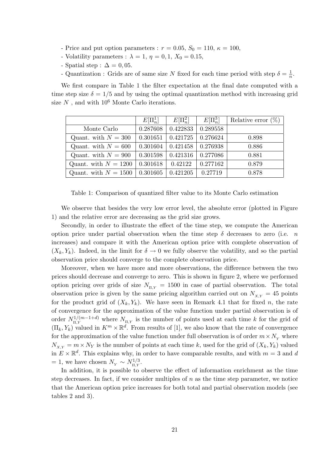- Price and put option parameters :  $r = 0.05$ ,  $S_0 = 110$ ,  $\kappa = 100$ ,
- Volatility parameters :  $\lambda = 1$ ,  $\eta = 0, 1$ ,  $X_0 = 0.15$ ,
- Spatial step :  $\Delta = 0.05$ .
- Quantization : Grids are of same size N fixed for each time period with step  $\delta = \frac{1}{n}$ .

We first compare in Table 1 the filter expectation at the final date computed with a time step size  $\delta = 1/5$  and by using the optimal quantization method with increasing grid size  $N$  , and with  $10^6$  Monte Carlo iterations.

|                        | $E[\Pi_n^1]$ | $E[\Pi_n^2]$ | $E[\Pi_n^3]$ | Relative error $(\%)$ |
|------------------------|--------------|--------------|--------------|-----------------------|
| Monte Carlo            | 0.287608     | 0.422833     | 0.289558     |                       |
| Quant. with $N = 300$  | 0.301651     | 0.421725     | 0.276624     | 0.898                 |
| Quant. with $N = 600$  | 0.301604     | 0.421458     | 0.276938     | 0.886                 |
| Quant. with $N = 900$  | 0.301598     | 0.421316     | 0.277086     | 0.881                 |
| Quant. with $N = 1200$ | 0.301618     | 0.42122      | 0.277162     | 0.879                 |
| Quant. with $N = 1500$ | 0.301605     | 0.421205     | 0.27719      | 0.878                 |

Table 1: Comparison of quantized filter value to its Monte Carlo estimation

We observe that besides the very low error level, the absolute error (plotted in Figure 1) and the relative error are decreasing as the grid size grows.

Secondly, in order to illustrate the effect of the time step, we compute the American option price under partial observation when the time step  $\delta$  decreases to zero (i.e. n increases) and compare it with the American option price with complete observation of  $(X_k, Y_k)$ . Indeed, in the limit for  $\delta \to 0$  we fully observe the volatility, and so the partial observation price should converge to the complete observation price.

Moreover, when we have more and more observations, the difference between the two prices should decrease and converge to zero. This is shown in figure 2, where we performed option pricing over grids of size  $N_{\pi y} = 1500$  in case of partial observation. The total observation price is given by the same pricing algorithm carried out on  $N_{xy} = 45$  points for the product grid of  $(X_k, Y_k)$ . We have seen in Remark 4.1 that for fixed n, the rate of convergence for the approximation of the value function under partial observation is of order  $N_{\Pi,Y}^{1/(m-1+d)}$  where  $N_{\Pi,Y}$  is the number of points used at each time k for the grid of  $(\Pi_k, Y_k)$  valued in  $K^m \times \mathbb{R}^d$ . From results of [1], we also know that the rate of convergence for the approximation of the value function under full observation is of order  $m \times N_{\gamma}$  where  $N_{X,Y} = m \times N_Y$  is the number of points at each time k, used for the grid of  $(X_k, Y_k)$  valued in  $E \times \mathbb{R}^d$ . This explains why, in order to have comparable results, and with  $m = 3$  and d = 1, we have chosen  $N_Y \sim N_{\rm H\,Y}^{1/3}$ .

In addition, it is possible to observe the effect of information enrichment as the time step decreases. In fact, if we consider multiples of  $n$  as the time step parameter, we notice that the American option price increases for both total and partial observation models (see tables  $2$  and  $3$ ).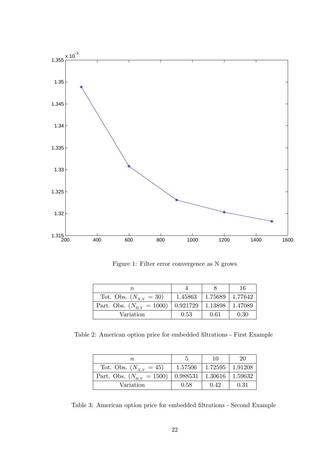

Figure 1: Filter error convergence as N grows

| n                                 |                                           |           | 16      |
|-----------------------------------|-------------------------------------------|-----------|---------|
| Tot. Obs. $(N_{X,Y} = 30)$        | 1.45863                                   | $1.75689$ | 1.77642 |
| Part. Obs. $(N_{\rm H V} = 1000)$ | $\mid 0.921729 \mid 1.13898 \mid 1.47089$ |           |         |
| Variation                         | 0.53                                      | 0.61      | 0.30    |

Table 2: American option price for embedded filtrations - First Example

|                                   |                                      | 10                    | 20   |
|-----------------------------------|--------------------------------------|-----------------------|------|
| Tot. Obs. $(N_{X,Y} = 45)$        | 1.57506                              | $1.72595$   $1.91208$ |      |
| Part. Obs. $(N_{\rm H V} = 1500)$ | $0.988531 \mid 1.30616 \mid 1.59632$ |                       |      |
| Variation                         | 0.58                                 | 0.42                  | 0.31 |

Table 3: American option price for embedded filtrations - Second Example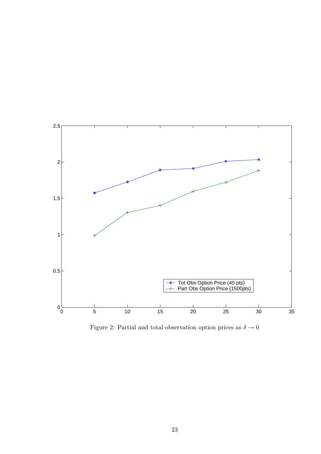

Figure 2: Partial and total observation option prices as  $\delta \rightarrow 0$